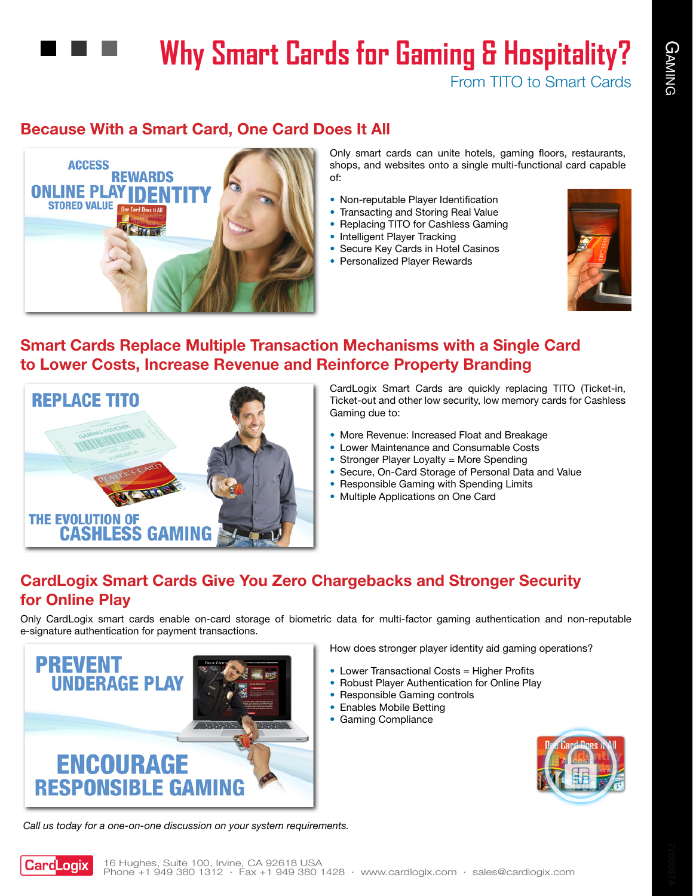# **Why Smart Cards for Gaming & Hospitality?**

From TITO to Smart Cards

# **Because With a Smart Card, One Card Does It All**



Only smart cards can unite hotels, gaming floors, restaurants, shops, and websites onto a single multi-functional card capable of:

- Non-reputable Player Identification
- Transacting and Storing Real Value
- Replacing TITO for Cashless Gaming
- Intelligent Player Tracking
- Secure Key Cards in Hotel Casinos
- Personalized Player Rewards



### **Smart Cards Replace Multiple Transaction Mechanisms with a Single Card to Lower Costs, Increase Revenue and Reinforce Property Branding**



CardLogix Smart Cards are quickly replacing TITO (Ticket-in, Ticket-out and other low security, low memory cards for Cashless Gaming due to:

- More Revenue: Increased Float and Breakage
- Lower Maintenance and Consumable Costs
- Stronger Player Loyalty = More Spending
- Secure, On-Card Storage of Personal Data and Value
- Responsible Gaming with Spending Limits
- Multiple Applications on One Card

# **CardLogix Smart Cards Give You Zero Chargebacks and Stronger Security for Online Play**

Only CardLogix smart cards enable on-card storage of biometric data for multi-factor gaming authentication and non-reputable e-signature authentication for payment transactions.



*Call us today for a one-on-one discussion on your system requirements.*

How does stronger player identity aid gaming operations?

- Lower Transactional Costs = Higher Profits
- Robust Player Authentication for Online Play
- Responsible Gaming controls
- Enables Mobile Betting
- Gaming Compliance